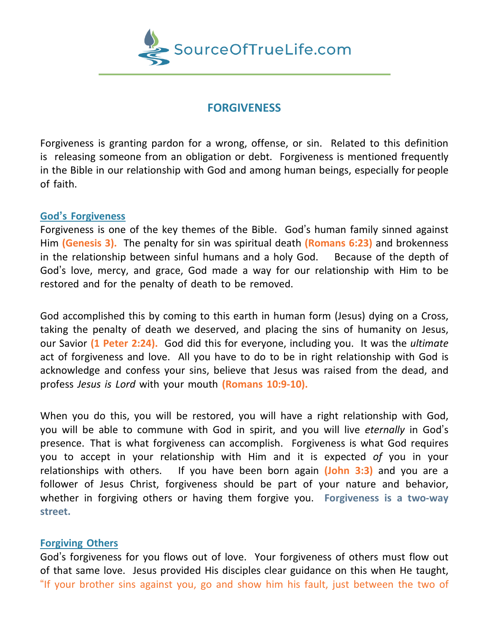

# **FORGIVENESS**

Forgiveness is granting pardon for a wrong, offense, or sin. Related to this definition is releasing someone from an obligation or debt. Forgiveness is mentioned frequently in the Bible in our relationship with God and among human beings, especially for people of faith.

## **God's Forgiveness**

Forgiveness is one of the key themes of the Bible. God's human family sinned against Him **(Genesis 3).** The penalty for sin was spiritual death **(Romans 6:23)** and brokenness in the relationship between sinful humans and a holy God. Because of the depth of God's love, mercy, and grace, God made a way for our relationship with Him to be restored and for the penalty of death to be removed.

God accomplished this by coming to this earth in human form (Jesus) dying on a Cross, taking the penalty of death we deserved, and placing the sins of humanity on Jesus, our Savior **(1 Peter 2:24).** God did this for everyone, including you. It was the *ultimate* act of forgiveness and love. All you have to do to be in right relationship with God is acknowledge and confess your sins, believe that Jesus was raised from the dead, and profess *Jesus is Lord* with your mouth **(Romans 10:9-10).**

When you do this, you will be restored, you will have a right relationship with God, you will be able to commune with God in spirit, and you will live *eternally* in God's presence. That is what forgiveness can accomplish. Forgiveness is what God requires you to accept in your relationship with Him and it is expected *of* you in your relationships with others. If you have been born again **(John 3:3)** and you are a follower of Jesus Christ, forgiveness should be part of your nature and behavior, whether in forgiving others or having them forgive you. **Forgiveness is a two-way street.**

## **Forgiving Others**

God's forgiveness for you flows out of love. Your forgiveness of others must flow out of that same love. Jesus provided His disciples clear guidance on this when He taught, "If your brother sins against you, go and show him his fault, just between the two of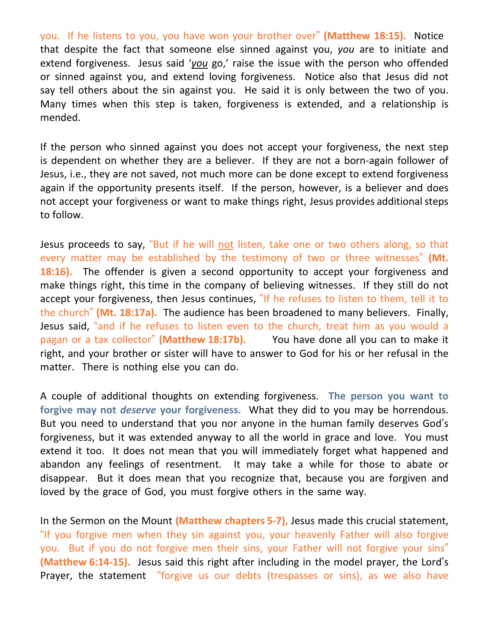you. If he listens to you, you have won your brother over" **(Matthew 18:15).** Notice that despite the fact that someone else sinned against you, *you* are to initiate and extend forgiveness. Jesus said '*you* go,' raise the issue with the person who offended or sinned against you, and extend loving forgiveness. Notice also that Jesus did not say tell others about the sin against you. He said it is only between the two of you. Many times when this step is taken, forgiveness is extended, and a relationship is mended.

If the person who sinned against you does not accept your forgiveness, the next step is dependent on whether they are a believer. If they are not a born-again follower of Jesus, i.e., they are not saved, not much more can be done except to extend forgiveness again if the opportunity presents itself. If the person, however, is a believer and does not accept your forgiveness or want to make things right, Jesus provides additional steps to follow.

Jesus proceeds to say, "But if he will not listen, take one or two others along, so that every matter may be established by the testimony of two or three witnesses" **(Mt. 18:16).** The offender is given a second opportunity to accept your forgiveness and make things right, this time in the company of believing witnesses. If they still do not accept your forgiveness, then Jesus continues, "If he refuses to listen to them, tell it to the church" **(Mt. 18:17a).** The audience has been broadened to many believers. Finally, Jesus said, "and if he refuses to listen even to the church, treat him as you would a pagan or a tax collector" **(Matthew 18:17b).** You have done all you can to make it right, and your brother or sister will have to answer to God for his or her refusal in the matter. There is nothing else you can do.

A couple of additional thoughts on extending forgiveness. **The person you want to forgive may not** *deserve* **your forgiveness.** What they did to you may be horrendous. But you need to understand that you nor anyone in the human family deserves God's forgiveness, but it was extended anyway to all the world in grace and love. You must extend it too. It does not mean that you will immediately forget what happened and abandon any feelings of resentment. It may take a while for those to abate or disappear. But it does mean that you recognize that, because you are forgiven and loved by the grace of God, you must forgive others in the same way.

In the Sermon on the Mount **(Matthew chapters 5-7),** Jesus made this crucial statement, "If you forgive men when they sin against you, your heavenly Father will also forgive you. But if you do not forgive men their sins, your Father will not forgive your sins" **(Matthew 6:14-15).** Jesus said this right after including in the model prayer, the Lord's Prayer, the statement "forgive us our debts (trespasses or sins), as we also have